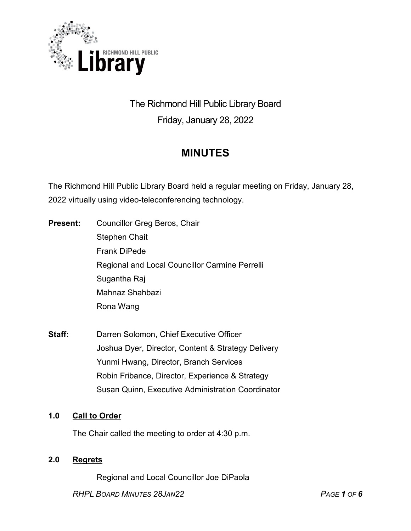

# The Richmond Hill Public Library Board Friday, January 28, 2022

# **MINUTES**

The Richmond Hill Public Library Board held a regular meeting on Friday, January 28, 2022 virtually using video-teleconferencing technology.

- **Present:** Councillor Greg Beros, Chair Stephen Chait Frank DiPede Regional and Local Councillor Carmine Perrelli Sugantha Raj Mahnaz Shahbazi Rona Wang
- **Staff:** Darren Solomon, Chief Executive Officer Joshua Dyer, Director, Content & Strategy Delivery Yunmi Hwang, Director, Branch Services Robin Fribance, Director, Experience & Strategy Susan Quinn, Executive Administration Coordinator

# **1.0 Call to Order**

The Chair called the meeting to order at 4:30 p.m.

# **2.0 Regrets**

Regional and Local Councillor Joe DiPaola

*RHPL BOARD MINUTES 28JAN22 PAGE 1 OF 6*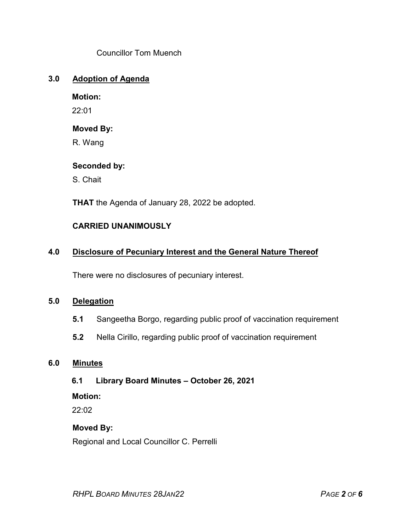Councillor Tom Muench

### **3.0 Adoption of Agenda**

**Motion:**

22:01

### **Moved By:**

R. Wang

### **Seconded by:**

S. Chait

**THAT** the Agenda of January 28, 2022 be adopted.

# **CARRIED UNANIMOUSLY**

# **4.0 Disclosure of Pecuniary Interest and the General Nature Thereof**

There were no disclosures of pecuniary interest.

#### **5.0 Delegation**

- **5.1** Sangeetha Borgo, regarding public proof of vaccination requirement
- **5.2** Nella Cirillo, regarding public proof of vaccination requirement

### **6.0 Minutes**

**6.1 Library Board Minutes – October 26, 2021**

#### **Motion:**

22:02

#### **Moved By:**

Regional and Local Councillor C. Perrelli

*RHPL BOARD MINUTES 28JAN22 PAGE 2 OF 6*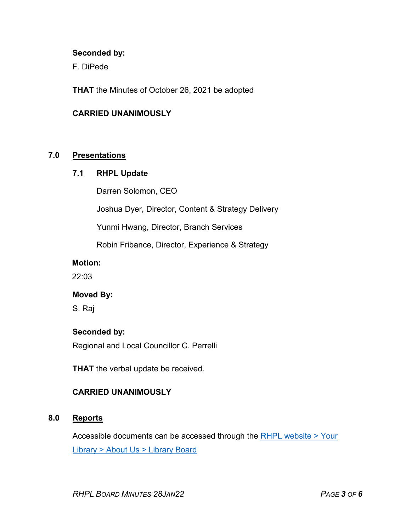#### **Seconded by:**

F. DiPede

**THAT** the Minutes of October 26, 2021 be adopted

#### **CARRIED UNANIMOUSLY**

### **7.0 Presentations**

#### **7.1 RHPL Update**

Darren Solomon, CEO

Joshua Dyer, Director, Content & Strategy Delivery

Yunmi Hwang, Director, Branch Services

Robin Fribance, Director, Experience & Strategy

#### **Motion:**

22:03

#### **Moved By:**

S. Raj

#### **Seconded by:**

Regional and Local Councillor C. Perrelli

**THAT** the verbal update be received.

# **CARRIED UNANIMOUSLY**

# **8.0 Reports**

Accessible documents can be accessed through the [RHPL website > Your](https://www.rhpl.ca/your-library/about-us/library-board)  Library [> About Us > Library](https://www.rhpl.ca/your-library/about-us/library-board) Board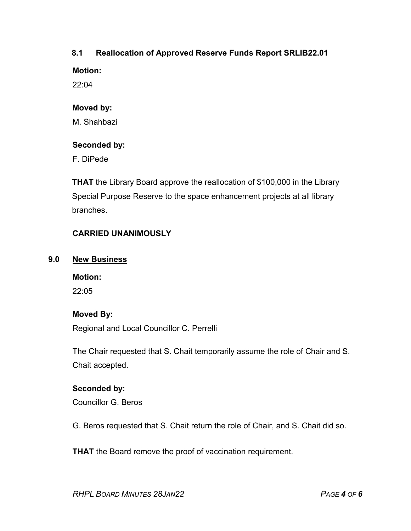# **8.1 Reallocation of Approved Reserve Funds Report SRLIB22.01**

**Motion:** 

22:04

# **Moved by:**

M. Shahbazi

# **Seconded by:**

F. DiPede

**THAT** the Library Board approve the reallocation of \$100,000 in the Library Special Purpose Reserve to the space enhancement projects at all library branches.

# **CARRIED UNANIMOUSLY**

# **9.0 New Business**

**Motion:**  $22.05$ 

# **Moved By:**

Regional and Local Councillor C. Perrelli

The Chair requested that S. Chait temporarily assume the role of Chair and S. Chait accepted.

# **Seconded by:**

Councillor G. Beros

G. Beros requested that S. Chait return the role of Chair, and S. Chait did so.

**THAT** the Board remove the proof of vaccination requirement.

*RHPL BOARD MINUTES 28JAN22 PAGE 4 OF 6*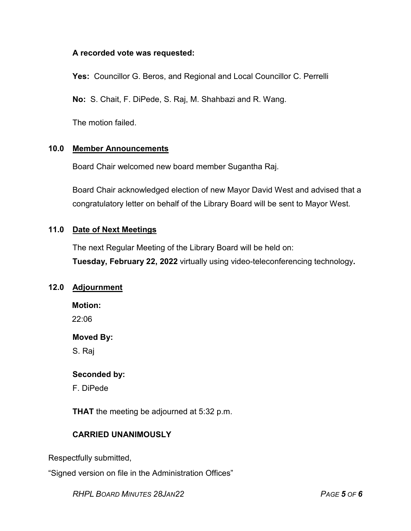#### **A recorded vote was requested:**

**Yes:** Councillor G. Beros, and Regional and Local Councillor C. Perrelli

**No:** S. Chait, F. DiPede, S. Raj, M. Shahbazi and R. Wang.

The motion failed.

# **10.0 Member Announcements**

Board Chair welcomed new board member Sugantha Raj.

Board Chair acknowledged election of new Mayor David West and advised that a congratulatory letter on behalf of the Library Board will be sent to Mayor West.

# **11.0 Date of Next Meetings**

The next Regular Meeting of the Library Board will be held on: **Tuesday, February 22, 2022** virtually using video-teleconferencing technology**.**

# **12.0 Adjournment**

**Motion:**

 $22.06$ 

#### **Moved By:**

S. Raj

#### **Seconded by:**

F. DiPede

**THAT** the meeting be adjourned at 5:32 p.m.

# **CARRIED UNANIMOUSLY**

Respectfully submitted,

"Signed version on file in the Administration Offices"

*RHPL BOARD MINUTES 28JAN22 PAGE 5 OF 6*